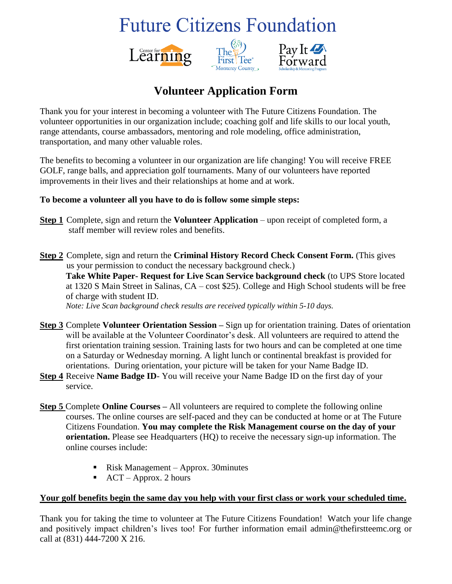# **Future Citizens Foundation**







### **Volunteer Application Form**

Thank you for your interest in becoming a volunteer with The Future Citizens Foundation. The volunteer opportunities in our organization include; coaching golf and life skills to our local youth, range attendants, course ambassadors, mentoring and role modeling, office administration, transportation, and many other valuable roles.

The benefits to becoming a volunteer in our organization are life changing! You will receive FREE GOLF, range balls, and appreciation golf tournaments. Many of our volunteers have reported improvements in their lives and their relationships at home and at work.

#### **To become a volunteer all you have to do is follow some simple steps:**

- **Step 1** Complete, sign and return the **Volunteer Application** upon receipt of completed form, a staff member will review roles and benefits.
- **Step 2** Complete, sign and return the **Criminal History Record Check Consent Form.** (This gives us your permission to conduct the necessary background check.) **Take White Paper- Request for Live Scan Service background check** (to UPS Store located at 1320 S Main Street in Salinas, CA – cost \$25). College and High School students will be free of charge with student ID. *Note: Live Scan background check results are received typically within 5-10 days.*
- **Step 3** Complete **Volunteer Orientation Session –** Sign up for orientation training. Dates of orientation will be available at the Volunteer Coordinator's desk. All volunteers are required to attend the first orientation training session. Training lasts for two hours and can be completed at one time on a Saturday or Wednesday morning. A light lunch or continental breakfast is provided for orientations. During orientation, your picture will be taken for your Name Badge ID.
- **Step 4** Receive **Name Badge ID** You will receive your Name Badge ID on the first day of your service.
- **Step 5** Complete **Online Courses –** All volunteers are required to complete the following online courses. The online courses are self-paced and they can be conducted at home or at The Future Citizens Foundation. **You may complete the Risk Management course on the day of your orientation.** Please see Headquarters (HQ) to receive the necessary sign-up information. The online courses include:
	- Risk Management Approx. 30minutes
	- $\blacksquare$  ACT Approx. 2 hours

#### **Your golf benefits begin the same day you help with your first class or work your scheduled time.**

Thank you for taking the time to volunteer at The Future Citizens Foundation! Watch your life change and positively impact children's lives too! For further information email admin@thefirstteemc.org or call at (831) 444-7200 X 216.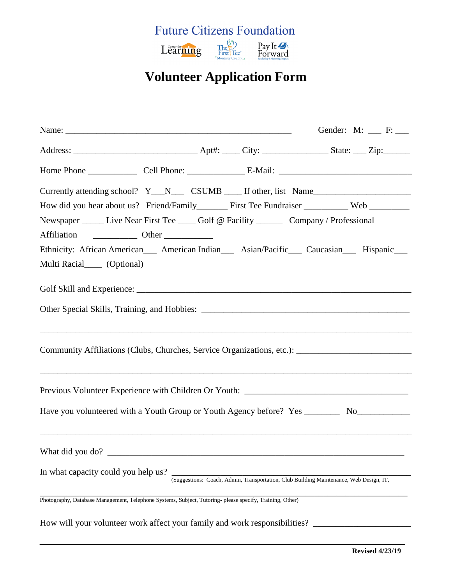

## **Volunteer Application Form**

|                                     |                                                                                                         | Currently attending school? Y__N___ CSUMB ____ If other, list Name                                  |
|-------------------------------------|---------------------------------------------------------------------------------------------------------|-----------------------------------------------------------------------------------------------------|
|                                     |                                                                                                         |                                                                                                     |
|                                     | Newspaper ______ Live Near First Tee _____ Golf @ Facility ________ Company / Professional              |                                                                                                     |
|                                     |                                                                                                         |                                                                                                     |
|                                     |                                                                                                         | Ethnicity: African American___ American Indian___ Asian/Pacific___ Caucasian___ Hispanic___         |
| Multi Racial______ (Optional)       |                                                                                                         |                                                                                                     |
|                                     |                                                                                                         |                                                                                                     |
|                                     |                                                                                                         |                                                                                                     |
|                                     | ,我们也不会有什么。""我们的人,我们也不会有什么?""我们的人,我们也不会有什么?""我们的人,我们也不会有什么?""我们的人,我们也不会有什么?""我们的人                        | Community Affiliations (Clubs, Churches, Service Organizations, etc.): ____________________________ |
|                                     |                                                                                                         | ,我们也不会有什么。""我们的人,我们也不会有什么?""我们的人,我们也不会有什么?""我们的人,我们也不会有什么?""我们的人,我们也不会有什么?""我们的人                    |
|                                     | Have you volunteered with a Youth Group or Youth Agency before? Yes ________                            | No                                                                                                  |
| What did you do?                    | ,我们也不能在这里的时候,我们也不能在这里的时候,我们也不能会不能会不能会不能会不能会不能会不能会不能会不能会不能会。""我们的是我们的,我们也不能会不能会不能                        |                                                                                                     |
| In what capacity could you help us? |                                                                                                         | (Suggestions: Coach, Admin, Transportation, Club Building Maintenance, Web Design, IT,              |
|                                     | Photography, Database Management, Telephone Systems, Subject, Tutoring-please specify, Training, Other) |                                                                                                     |
|                                     | How will your volunteer work affect your family and work responsibilities?                              |                                                                                                     |

 $\overline{\phantom{a}}$  , and the contract of the contract of the contract of the contract of the contract of the contract of the contract of the contract of the contract of the contract of the contract of the contract of the contrac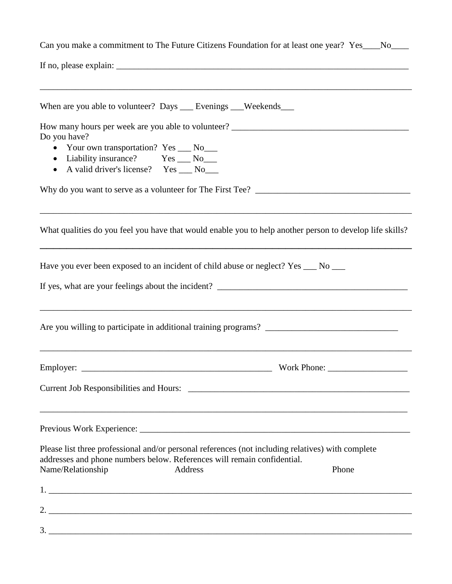| Do you have?<br>• Your own transportation? Yes ___ No___<br>• Liability insurance? Yes __ No__<br>• A valid driver's license? Yes __ No__<br>Have you ever been exposed to an incident of child abuse or neglect? Yes __ No __<br><b>Example 2018</b> Work Phone:<br><u> 1989 - Jan James James James James James James James James James James James James James James James James J</u><br>Please list three professional and/or personal references (not including relatives) with complete<br>addresses and phone numbers below. References will remain confidential.<br>Address<br>Phone<br>2. $\frac{1}{2}$ $\frac{1}{2}$ $\frac{1}{2}$ $\frac{1}{2}$ $\frac{1}{2}$ $\frac{1}{2}$ $\frac{1}{2}$ $\frac{1}{2}$ $\frac{1}{2}$ $\frac{1}{2}$ $\frac{1}{2}$ $\frac{1}{2}$ $\frac{1}{2}$ $\frac{1}{2}$ $\frac{1}{2}$ $\frac{1}{2}$ $\frac{1}{2}$ $\frac{1}{2}$ $\frac{1}{2}$ $\frac{1}{2}$ $\frac{1}{2}$ $\frac{1}{2}$ | Can you make a commitment to The Future Citizens Foundation for at least one year? Yes___No___           |  |  |  |  |
|-------------------------------------------------------------------------------------------------------------------------------------------------------------------------------------------------------------------------------------------------------------------------------------------------------------------------------------------------------------------------------------------------------------------------------------------------------------------------------------------------------------------------------------------------------------------------------------------------------------------------------------------------------------------------------------------------------------------------------------------------------------------------------------------------------------------------------------------------------------------------------------------------------------------------|----------------------------------------------------------------------------------------------------------|--|--|--|--|
|                                                                                                                                                                                                                                                                                                                                                                                                                                                                                                                                                                                                                                                                                                                                                                                                                                                                                                                         |                                                                                                          |  |  |  |  |
|                                                                                                                                                                                                                                                                                                                                                                                                                                                                                                                                                                                                                                                                                                                                                                                                                                                                                                                         | When are you able to volunteer? Days ___ Evenings ___ Weekends___                                        |  |  |  |  |
|                                                                                                                                                                                                                                                                                                                                                                                                                                                                                                                                                                                                                                                                                                                                                                                                                                                                                                                         |                                                                                                          |  |  |  |  |
|                                                                                                                                                                                                                                                                                                                                                                                                                                                                                                                                                                                                                                                                                                                                                                                                                                                                                                                         |                                                                                                          |  |  |  |  |
|                                                                                                                                                                                                                                                                                                                                                                                                                                                                                                                                                                                                                                                                                                                                                                                                                                                                                                                         |                                                                                                          |  |  |  |  |
|                                                                                                                                                                                                                                                                                                                                                                                                                                                                                                                                                                                                                                                                                                                                                                                                                                                                                                                         |                                                                                                          |  |  |  |  |
|                                                                                                                                                                                                                                                                                                                                                                                                                                                                                                                                                                                                                                                                                                                                                                                                                                                                                                                         |                                                                                                          |  |  |  |  |
|                                                                                                                                                                                                                                                                                                                                                                                                                                                                                                                                                                                                                                                                                                                                                                                                                                                                                                                         | What qualities do you feel you have that would enable you to help another person to develop life skills? |  |  |  |  |
|                                                                                                                                                                                                                                                                                                                                                                                                                                                                                                                                                                                                                                                                                                                                                                                                                                                                                                                         |                                                                                                          |  |  |  |  |
|                                                                                                                                                                                                                                                                                                                                                                                                                                                                                                                                                                                                                                                                                                                                                                                                                                                                                                                         |                                                                                                          |  |  |  |  |
|                                                                                                                                                                                                                                                                                                                                                                                                                                                                                                                                                                                                                                                                                                                                                                                                                                                                                                                         |                                                                                                          |  |  |  |  |
|                                                                                                                                                                                                                                                                                                                                                                                                                                                                                                                                                                                                                                                                                                                                                                                                                                                                                                                         |                                                                                                          |  |  |  |  |
|                                                                                                                                                                                                                                                                                                                                                                                                                                                                                                                                                                                                                                                                                                                                                                                                                                                                                                                         |                                                                                                          |  |  |  |  |
|                                                                                                                                                                                                                                                                                                                                                                                                                                                                                                                                                                                                                                                                                                                                                                                                                                                                                                                         | Employer:                                                                                                |  |  |  |  |
|                                                                                                                                                                                                                                                                                                                                                                                                                                                                                                                                                                                                                                                                                                                                                                                                                                                                                                                         |                                                                                                          |  |  |  |  |
|                                                                                                                                                                                                                                                                                                                                                                                                                                                                                                                                                                                                                                                                                                                                                                                                                                                                                                                         |                                                                                                          |  |  |  |  |
|                                                                                                                                                                                                                                                                                                                                                                                                                                                                                                                                                                                                                                                                                                                                                                                                                                                                                                                         |                                                                                                          |  |  |  |  |
|                                                                                                                                                                                                                                                                                                                                                                                                                                                                                                                                                                                                                                                                                                                                                                                                                                                                                                                         |                                                                                                          |  |  |  |  |
|                                                                                                                                                                                                                                                                                                                                                                                                                                                                                                                                                                                                                                                                                                                                                                                                                                                                                                                         |                                                                                                          |  |  |  |  |
|                                                                                                                                                                                                                                                                                                                                                                                                                                                                                                                                                                                                                                                                                                                                                                                                                                                                                                                         | Name/Relationship                                                                                        |  |  |  |  |
|                                                                                                                                                                                                                                                                                                                                                                                                                                                                                                                                                                                                                                                                                                                                                                                                                                                                                                                         |                                                                                                          |  |  |  |  |
|                                                                                                                                                                                                                                                                                                                                                                                                                                                                                                                                                                                                                                                                                                                                                                                                                                                                                                                         |                                                                                                          |  |  |  |  |
|                                                                                                                                                                                                                                                                                                                                                                                                                                                                                                                                                                                                                                                                                                                                                                                                                                                                                                                         |                                                                                                          |  |  |  |  |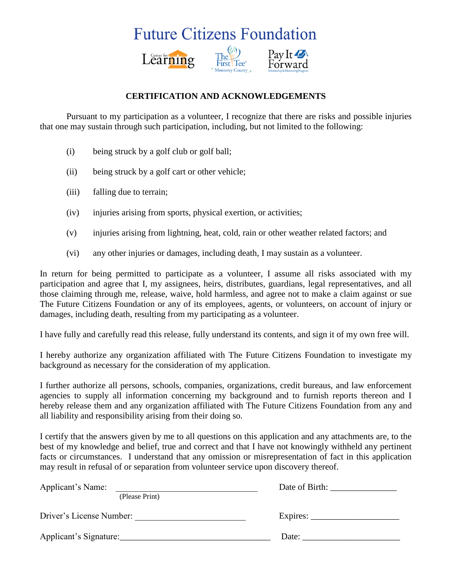## **Future Citizens Foundation**



### **CERTIFICATION AND ACKNOWLEDGEMENTS**

Pursuant to my participation as a volunteer, I recognize that there are risks and possible injuries that one may sustain through such participation, including, but not limited to the following:

- (i) being struck by a golf club or golf ball;
- (ii) being struck by a golf cart or other vehicle;
- (iii) falling due to terrain;
- (iv) injuries arising from sports, physical exertion, or activities;
- (v) injuries arising from lightning, heat, cold, rain or other weather related factors; and
- (vi) any other injuries or damages, including death, I may sustain as a volunteer.

In return for being permitted to participate as a volunteer, I assume all risks associated with my participation and agree that I, my assignees, heirs, distributes, guardians, legal representatives, and all those claiming through me, release, waive, hold harmless, and agree not to make a claim against or sue The Future Citizens Foundation or any of its employees, agents, or volunteers, on account of injury or damages, including death, resulting from my participating as a volunteer.

I have fully and carefully read this release, fully understand its contents, and sign it of my own free will.

I hereby authorize any organization affiliated with The Future Citizens Foundation to investigate my background as necessary for the consideration of my application.

I further authorize all persons, schools, companies, organizations, credit bureaus, and law enforcement agencies to supply all information concerning my background and to furnish reports thereon and I hereby release them and any organization affiliated with The Future Citizens Foundation from any and all liability and responsibility arising from their doing so.

I certify that the answers given by me to all questions on this application and any attachments are, to the best of my knowledge and belief, true and correct and that I have not knowingly withheld any pertinent facts or circumstances. I understand that any omission or misrepresentation of fact in this application may result in refusal of or separation from volunteer service upon discovery thereof.

| Applicant's Name:        |          |  |
|--------------------------|----------|--|
| (Please Print)           |          |  |
| Driver's License Number: | Expires: |  |
| Applicant's Signature:   | Date:    |  |